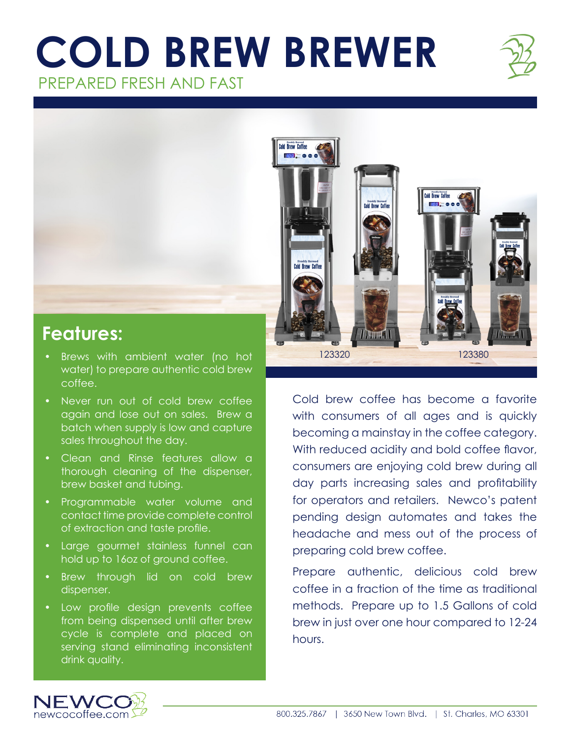## **COLD BREW BREWER** PREPARED FRESH AND FAST





## **Features:**

- Brews with ambient water (no hot water) to prepare authentic cold brew coffee.
- Never run out of cold brew coffee again and lose out on sales. Brew a batch when supply is low and capture sales throughout the day.
- Clean and Rinse features allow a thorough cleaning of the dispenser, brew basket and tubing.
- Programmable water volume and contact time provide complete control of extraction and taste profile.
- Large gourmet stainless funnel can hold up to 16oz of ground coffee.
- Brew through lid on cold brew dispenser.
- Low profile design prevents coffee from being dispensed until after brew cycle is complete and placed on serving stand eliminating inconsistent drink quality.

Cold brew coffee has become a favorite with consumers of all ages and is quickly becoming a mainstay in the coffee category. With reduced acidity and bold coffee flavor, consumers are enjoying cold brew during all day parts increasing sales and profitability for operators and retailers. Newco's patent pending design automates and takes the headache and mess out of the process of preparing cold brew coffee.

Prepare authentic, delicious cold brew coffee in a fraction of the time as traditional methods. Prepare up to 1.5 Gallons of cold brew in just over one hour compared to 12-24 hours.